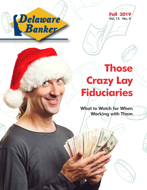



## **Those Crazy Lay Fiduciaries**

**What to Watch for When Working with Them**

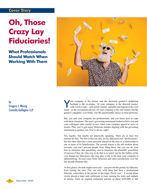## **Cover Story**

## **Oh, Those Crazy Lay Fiduciaries!**

**What Professionals Should Watch When Working With Them**



by Gregory J. Weinig Connolly Gallagher LLP

Your company is the trustee and the deceased grantor's doddering<br>husband is the co-trustee. Or your company is the directed trustee,<br>with Uncle Louie—self-styled venture capitalist and legend in his own<br>mind set the invest husband is the co-trustee. Or your company is the directed trustee, with Uncle Louie—self-styled venture capitalist and legend in his own mind—as the investment advisor. Or your company is the sole trustee, but the grantor's daughter, ever-fickle, was the questionable choice as trust protector.

But, you and your company are professionals, and you know how to cope with these situations. The trust's governing instrument looked solid to you and your colleagues after careful review, when your company agreed to serve as trustee. Plus, you've got many Delaware statutes aligning with the governing instrument to protect you. You're all set, right?

Yes, legally—but maybe not practically speaking. There are at least two reasons for this. The first is that not only are lay fiduciaries not "professional," but also they often have some personal interest in the trust or a relationship to one or more of its beneficiaries. The second reason is the old wisdom about lawsuits: you can't prevent people from filing them, but you can do your best to minimize that possibility, and to minimize the plaintiffs' possibility of success if they do. One way to do that is to watch out for the foibles of the very human lay fiduciaries who may play a role in the trust your company is administering. Several cases from Delaware and other jurisdictions over the last decade illustrate this.

At first glance, the task might seem easy—just prevent the greedy lay fiduciary from looting the trust. One can only wish there had been a professional fiduciary somewhere in the picture in the tragic *Hardy* case.1 A sexual abuse victim placed a large cash settlement in trust, naming his sister and nephew as trustee. From an original settlement amount of about \$345,000 in late

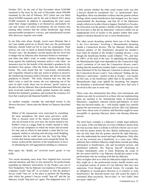October 2011, by the end of that November about \$160,000 remained in the trust; by the end of December about \$98,000 remained; by the end of February 2012 (when suit was filed) about \$34,000 remained; and by the end of March 2012, about \$3,000 remained. In addition to squandering the trust assets under their charge (spending it on themselves, particularly for cars and various real estate investments), the lay trustees also (among other actions) had the reliant beneficiary sign broad unconscionable prospective waivers, and manufactured records after discovery requests were made.

In our little state alone, though, recent cases illustrate that it isn't just simple greed (as in *Hardy*) that you, the professional fiduciary, should watch out for in your lay counterparts. Their motives can vary as much as human beings themselves. In the Paradee case,<sup>2</sup> the decedent's second spouse did her level best to badger the lay fiduciary (her insurance broker) to terminate and when that didn't work, to render valueless through large loans against the underlying insurance policy's cash value—an insurance trust for the benefit of the decedent's grandson by the decedent's first spouse. After the broker died, she became the trustee. The court found that she "consciously, intentionally, and vengefully refused to take any action to protect or preserve the [underlying insurance policy] because she did not want [the grandson] to benefit." The tricky element here was that she didn't want or need the money she was siphoning out of the trust. In other words, there was no obvious "greed" motive on the part of the lay fiduciary that a professional fiduciary (had one been involved) could have readily spotted. Instead, she simply disliked her husband's grandson, and resented the existence of a trust that would provide financial benefits to him.

As another example, consider the individual trustee in the *Mennen* decision,<sup>3</sup> whose aims the Master in Chancery described thusly:

[M]ost of the transactions were motivated by something far more amorphous, but much more pervasive: pride. That is, because most of the trustee's personal fortune was out-of-reach in his own trust, the trustee turned to his brother's trust as a piggy bank he readily opened to fund a few private companies in which the trustee had invested his time and on which he had staked a claim that he was uniquely skilled at selecting and advising small fledgling companies that he could turn into the "next big thing." Certain that fortune and acclaim were around the bend, the trustee eschewed the interests of the beneficiaries in favor of subsidizing his self-aggrandized standing as a financier.

Here again, the "deadly sin" involved wasn't greed—it was pride.

Two recent decanting cases from New England have received national attention, and they're also instructive for professionals regarding lay fiduciary motivations. In the *Hodges* case out of New Hampshire,<sup>4</sup> the lay fiduciary (an employee of the grantor's company) would "hop off" as co-trustee so that the grantor's lawyer could "hop on" in his place to perform the decanting, after which the grantor's lawyer would "hop off" and the lay fiduciary would "hop back on" again. This happened twice. It's a little unclear whether the other usual trustee (who was also a lawyer) should be considered "lay" or "professional" here. Regardless, there was abundant evidence that the grantor (whose feelings about certain beneficiaries had changed over the years) masterminded the decantings, and that all of the fiduciaries simply rolled over to allow them to happen. Similarly to *Paradee*, the motivation was the grantor's dislike of the beneficiaries. And the twist here is that the lay fiduciaries' collective foible was an inappropriate level of loyalty to the grantor (rather than some negative emotion directed at one or more beneficiaries).

The other recent decanting opinion from east of the Hudson is the *Ferri* decision,<sup>5</sup> involving a Massachusetts decanting amidst a Connecticut divorce. The lay fiduciary (brother and business partner of the beneficiary) decanted his brother's trust when he learned of the brother's pending divorce—even though the beneficiary-brother could withdraw 75%, and later all 100%, of the trust at the time. In upholding the decanting, the Massachusetts high court depended on the Connecticut high court's recitation of (in turn) the Connecticut divorce court's finding that the beneficiary-brother hadn't consented to (or even been informed of) the lay fiduciary's decision to decant. Despite the Connecticut divorce court's "non-collusion" finding, the lay fiduciary's motivation—similar to that in *Hodges*—was loyalty (in this case, to the beneficiary rather than to the grantor). The Massachusetts high court upheld the decanting, but imagine the hesitation a professional fiduciary might have had were it involved in this case in some way.

These cases also demonstrate that often, trust instruments and statutes can only be as protective as those who are implementing them are inclined to be. Institutional limits of professional fiduciaries—regulatory, inherent checks-and-balances of more than one decision-maker, etc.—will usually supply key controls against the mis-exercise of fiduciary powers. But a lay fiduciary won't have those sorts of controls, and therefore might be more susceptible to ignoring fiduciary duties and abusing fiduciary powers.

The most basic example is a fiduciary's simple legal authority over assets. If the sole fiduciary of a trust withdraws money from the trust account, there is nobody to tell him what he can or can't do with the money before the fact. Before malfeasance occurs, one can only hope that the grantor selected the right fiduciary, one who understands her moral and legal obligations. Only after an act has occurred can a beneficiary or a court react. Other authority that a faithless fiduciary might abuse include providing information to beneficiaries, sale and investment powers, and distribution authority. The "hop-on, hop-off" decantings in *Hodges* immediately come to mind. Realizing the scope of the raw power held by a lay fiduciary should give pause to the professionals who are working with that lay fiduciary.

Once on higher alert as to what lay fiduciaries might do and why they might do it, the professional trustee should monitor acts or proposed courses of action of a lay fiduciary that may raise suspicions. Even though a directed trustee, for example, has no obligation to second-guess direction or to monitor or warn beneficiaries,<sup>6</sup> the directed trustee may still sound the alarm if warranted. More succinctly, "has no duty" or "isn't liable" does not mean "shall not."<br>
Continued on p. 12